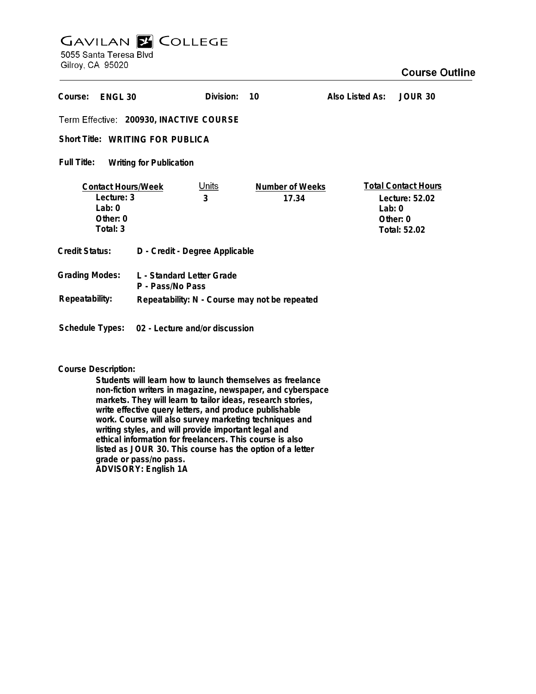# **GAVILAN Z COLLEGE** 5055 Santa Teresa Blvd

Gilroy, CA 95020

| Course:<br>ENGL <sub>30</sub>                                                 |                                               | Division:         | 10                              | Also Listed As: | JOUR 30                                                                  |
|-------------------------------------------------------------------------------|-----------------------------------------------|-------------------|---------------------------------|-----------------|--------------------------------------------------------------------------|
| Term Effective: 200930, INACTIVE COURSE                                       |                                               |                   |                                 |                 |                                                                          |
| Short Title: WRITING FOR PUBLICA                                              |                                               |                   |                                 |                 |                                                                          |
| Full Title:<br><b>Writing for Publication</b>                                 |                                               |                   |                                 |                 |                                                                          |
| <b>Contact Hours/Week</b><br>Lecture: 3<br>Lab: $0$<br>Other: $0$<br>Total: 3 |                                               | <u>Units</u><br>3 | <b>Number of Weeks</b><br>17.34 | Lab: $0$        | <b>Total Contact Hours</b><br>Lecture: 52.02<br>Other: 0<br>Total: 52.02 |
| Credit Status:                                                                | D - Credit - Degree Applicable                |                   |                                 |                 |                                                                          |
| <b>Grading Modes:</b>                                                         | L - Standard Letter Grade<br>P - Pass/No Pass |                   |                                 |                 |                                                                          |
| Repeatability:<br>Repeatability: N - Course may not be repeated               |                                               |                   |                                 |                 |                                                                          |

**Course Description:**

**Schedule Types: 02 - Lecture and/or discussion**

**Students will learn how to launch themselves as freelance non-fiction writers in magazine, newspaper, and cyberspace markets. They will learn to tailor ideas, research stories, write effective query letters, and produce publishable work. Course will also survey marketing techniques and writing styles, and will provide important legal and ethical information for freelancers. This course is also listed as JOUR 30. This course has the option of a letter grade or pass/no pass. ADVISORY: English 1A**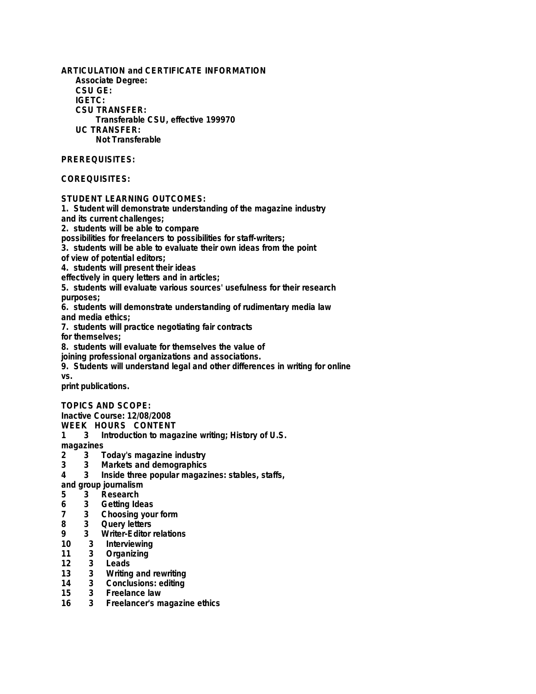**ARTICULATION and CERTIFICATE INFORMATION Associate Degree: CSU GE: IGETC: CSU TRANSFER: Transferable CSU, effective 199970 UC TRANSFER: Not Transferable PREREQUISITES: COREQUISITES: STUDENT LEARNING OUTCOMES: 1. Student will demonstrate understanding of the magazine industry and its current challenges; 2. students will be able to compare possibilities for freelancers to possibilities for staff-writers; 3. students will be able to evaluate their own ideas from the point of view of potential editors; 4. students will present their ideas effectively in query letters and in articles; 5. students will evaluate various sources' usefulness for their research purposes; 6. students will demonstrate understanding of rudimentary media law and media ethics; 7. students will practice negotiating fair contracts for themselves; 8. students will evaluate for themselves the value of joining professional organizations and associations. 9. Students will understand legal and other differences in writing for online vs. print publications.**

**TOPICS AND SCOPE:**

**Inactive Course: 12/08/2008**

**WEEK HOURS CONTENT**

**1 3 Introduction to magazine writing; History of U.S.**

**magazines**

- **2 3 Today's magazine industry**
- **3 3 Markets and demographics**
- **4 3 Inside three popular magazines: stables, staffs,**

**and group journalism**

- **5 3 Research**
- **6 3 Getting Ideas**
- **7 3 Choosing your form**
- **8 3 Query letters**
- **9 3 Writer-Editor relations**
- **10 3 Interviewing**
- **11 3 Organizing**
- **12 3 Leads**
- **13 3 Writing and rewriting**
- **14 3 Conclusions: editing**
- **15 3 Freelance law**
- **16 3 Freelancer's magazine ethics**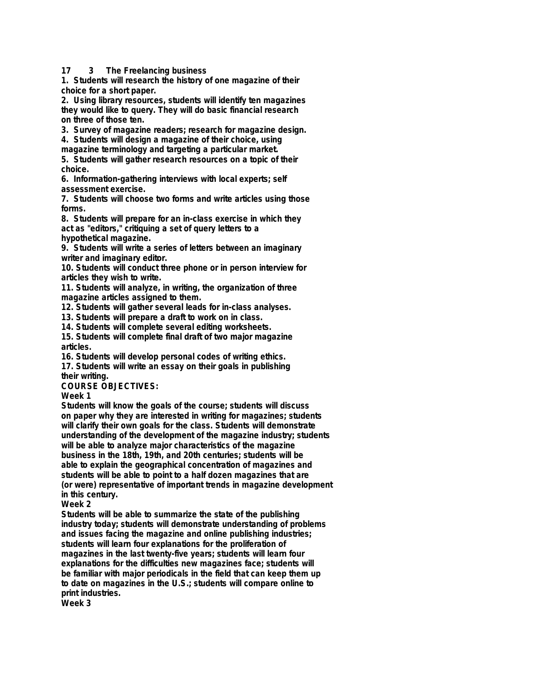**17 3 The Freelancing business**

**1. Students will research the history of one magazine of their choice for a short paper.**

**2. Using library resources, students will identify ten magazines they would like to query. They will do basic financial research on three of those ten.**

**3. Survey of magazine readers; research for magazine design.**

**4. Students will design a magazine of their choice, using magazine terminology and targeting a particular market.**

**5. Students will gather research resources on a topic of their choice.**

**6. Information-gathering interviews with local experts; self assessment exercise.**

**7. Students will choose two forms and write articles using those forms.**

**8. Students will prepare for an in-class exercise in which they act as "editors," critiquing a set of query letters to a hypothetical magazine.**

**9. Students will write a series of letters between an imaginary writer and imaginary editor.**

**10. Students will conduct three phone or in person interview for articles they wish to write.**

**11. Students will analyze, in writing, the organization of three magazine articles assigned to them.**

**12. Students will gather several leads for in-class analyses.**

**13. Students will prepare a draft to work on in class.**

**14. Students will complete several editing worksheets.**

**15. Students will complete final draft of two major magazine articles.**

**16. Students will develop personal codes of writing ethics.**

**17. Students will write an essay on their goals in publishing their writing.**

**COURSE OBJECTIVES:**

**Week 1**

**Students will know the goals of the course; students will discuss on paper why they are interested in writing for magazines; students will clarify their own goals for the class. Students will demonstrate understanding of the development of the magazine industry; students will be able to analyze major characteristics of the magazine business in the 18th, 19th, and 20th centuries; students will be able to explain the geographical concentration of magazines and students will be able to point to a half dozen magazines that are (or were) representative of important trends in magazine development in this century.**

**Week 2**

**Students will be able to summarize the state of the publishing industry today; students will demonstrate understanding of problems and issues facing the magazine and online publishing industries; students will learn four explanations for the proliferation of magazines in the last twenty-five years; students will learn four explanations for the difficulties new magazines face; students will be familiar with major periodicals in the field that can keep them up to date on magazines in the U.S.; students will compare online to print industries.**

**Week 3**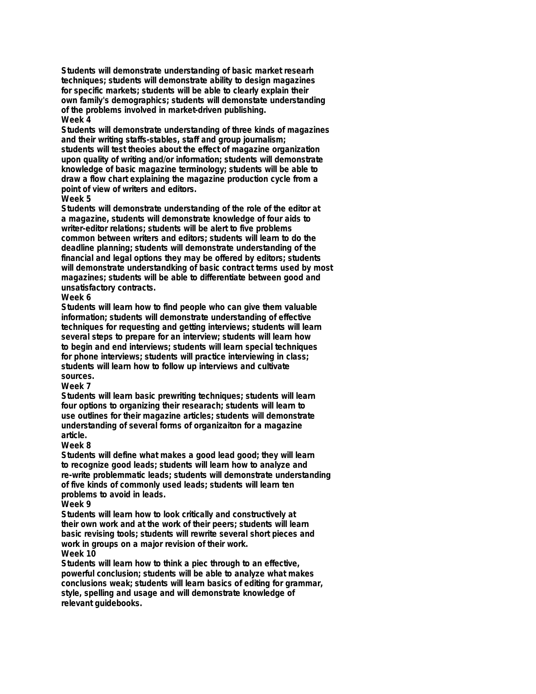**Students will demonstrate understanding of basic market researh techniques; students will demonstrate ability to design magazines for specific markets; students will be able to clearly explain their own family's demographics; students will demonstate understanding of the problems involved in market-driven publishing. Week 4**

**Students will demonstrate understanding of three kinds of magazines and their writing staffs-stables, staff and group journalism; students will test theoies about the effect of magazine organization upon quality of writing and/or information; students will demonstrate knowledge of basic magazine terminology; students will be able to draw a flow chart explaining the magazine production cycle from a point of view of writers and editors.**

#### **Week 5**

**Students will demonstrate understanding of the role of the editor at a magazine, students will demonstrate knowledge of four aids to writer-editor relations; students will be alert to five problems common between writers and editors; students will learn to do the deadline planning; students will demonstrate understanding of the financial and legal options they may be offered by editors; students will demonstrate understandking of basic contract terms used by most magazines; students will be able to differentiate between good and unsatisfactory contracts.**

## **Week 6**

**Students will learn how to find people who can give them valuable information; students will demonstrate understanding of effective techniques for requesting and getting interviews; students will learn several steps to prepare for an interview; students will learn how to begin and end interviews; students will learn special techniques for phone interviews; students will practice interviewing in class; students will learn how to follow up interviews and cultivate sources.**

## **Week 7**

**Students will learn basic prewriting techniques; students will learn four options to organizing their researach; students will learn to use outlines for their magazine articles; students will demonstrate understanding of several forms of organizaiton for a magazine article.**

## **Week 8**

**Students will define what makes a good lead good; they will learn to recognize good leads; students will learn how to analyze and re-write problemmatic leads; students will demonstrate understanding of five kinds of commonly used leads; students will learn ten problems to avoid in leads.**

#### **Week 9**

**Students will learn how to look critically and constructively at their own work and at the work of their peers; students will learn basic revising tools; students will rewrite several short pieces and work in groups on a major revision of their work.**

## **Week 10**

**Students will learn how to think a piec through to an effective, powerful conclusion; students will be able to analyze what makes conclusions weak; students will learn basics of editing for grammar, style, spelling and usage and will demonstrate knowledge of relevant guidebooks.**